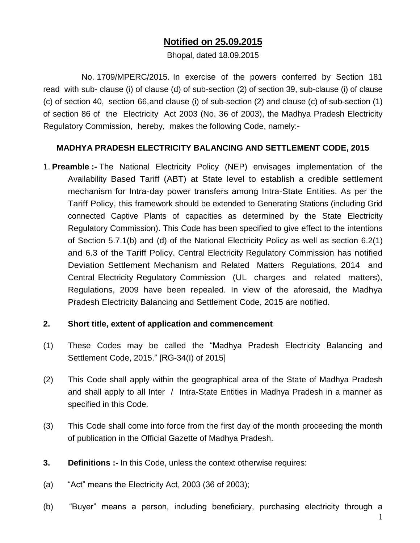## **Notified on 25.09.2015**

Bhopal, dated 18.09.2015

No. 1709/MPERC/2015. In exercise of the powers conferred by Section 181 read with sub- clause (i) of clause (d) of sub-section (2) of section 39, sub-clause (i) of clause (c) of section 40, section 66,and clause (i) of sub-section (2) and clause (c) of sub-section (1) of section 86 of the Electricity Act 2003 (No. 36 of 2003), the Madhya Pradesh Electricity Regulatory Commission, hereby, makes the following Code, namely:-

#### **MADHYA PRADESH ELECTRICITY BALANCING AND SETTLEMENT CODE, 2015**

1. **Preamble :-** The National Electricity Policy (NEP) envisages implementation of the Availability Based Tariff (ABT) at State level to establish a credible settlement mechanism for Intra-day power transfers among Intra-State Entities. As per the Tariff Policy, this framework should be extended to Generating Stations (including Grid connected Captive Plants of capacities as determined by the State Electricity Regulatory Commission). This Code has been specified to give effect to the intentions of Section 5.7.1(b) and (d) of the National Electricity Policy as well as section 6.2(1) and 6.3 of the Tariff Policy. Central Electricity Regulatory Commission has notified Deviation Settlement Mechanism and Related Matters Regulations, 2014 and Central Electricity Regulatory Commission (UL charges and related matters), Regulations, 2009 have been repealed. In view of the aforesaid, the Madhya Pradesh Electricity Balancing and Settlement Code, 2015 are notified.

#### **2. Short title, extent of application and commencement**

- (1) These Codes may be called the "Madhya Pradesh Electricity Balancing and Settlement Code, 2015." [RG-34(I) of 2015]
- (2) This Code shall apply within the geographical area of the State of Madhya Pradesh and shall apply to all Inter / Intra-State Entities in Madhya Pradesh in a manner as specified in this Code.
- (3) This Code shall come into force from the first day of the month proceeding the month of publication in the Official Gazette of Madhya Pradesh.
- **3. Definitions :-** In this Code, unless the context otherwise requires:
- (a) "Act" means the Electricity Act, 2003 (36 of 2003);
- (b) "Buyer" means a person, including beneficiary, purchasing electricity through a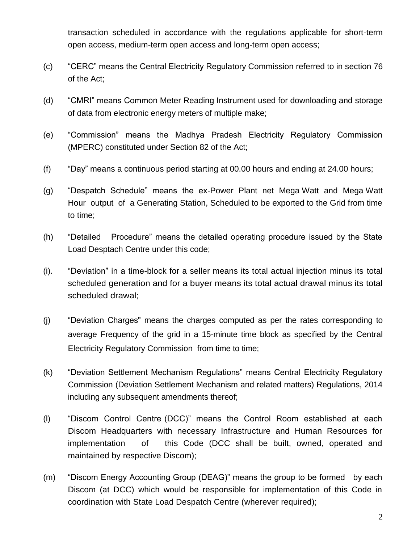transaction scheduled in accordance with the regulations applicable for short-term open access, medium-term open access and long-term open access;

- (c) "CERC" means the Central Electricity Regulatory Commission referred to in section 76 of the Act;
- (d) "CMRI" means Common Meter Reading Instrument used for downloading and storage of data from electronic energy meters of multiple make;
- (e) "Commission" means the Madhya Pradesh Electricity Regulatory Commission (MPERC) constituted under Section 82 of the Act;
- (f) "Day" means a continuous period starting at 00.00 hours and ending at 24.00 hours;
- (g) "Despatch Schedule" means the ex-Power Plant net Mega Watt and Mega Watt Hour output of a Generating Station, Scheduled to be exported to the Grid from time to time;
- (h) "Detailed Procedure" means the detailed operating procedure issued by the State Load Desptach Centre under this code;
- (i). "Deviation" in a time-block for a seller means its total actual injection minus its total scheduled generation and for a buyer means its total actual drawal minus its total scheduled drawal;
- (j) "Deviation Charges" means the charges computed as per the rates corresponding to average Frequency of the grid in a 15-minute time block as specified by the Central Electricity Regulatory Commission from time to time;
- (k) "Deviation Settlement Mechanism Regulations" means Central Electricity Regulatory Commission (Deviation Settlement Mechanism and related matters) Regulations, 2014 including any subsequent amendments thereof;
- (l) "Discom Control Centre (DCC)" means the Control Room established at each Discom Headquarters with necessary Infrastructure and Human Resources for implementation of this Code (DCC shall be built, owned, operated and maintained by respective Discom);
- (m) "Discom Energy Accounting Group (DEAG)" means the group to be formed by each Discom (at DCC) which would be responsible for implementation of this Code in coordination with State Load Despatch Centre (wherever required);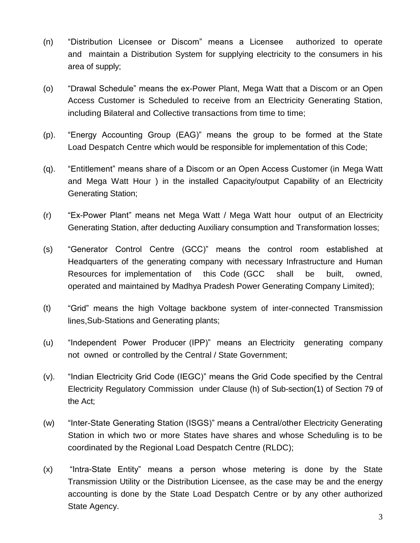- (n) "Distribution Licensee or Discom" means a Licensee authorized to operate and maintain a Distribution System for supplying electricity to the consumers in his area of supply;
- (o) "Drawal Schedule" means the ex-Power Plant, Mega Watt that a Discom or an Open Access Customer is Scheduled to receive from an Electricity Generating Station, including Bilateral and Collective transactions from time to time;
- (p). "Energy Accounting Group (EAG)" means the group to be formed at the State Load Despatch Centre which would be responsible for implementation of this Code;
- (q). "Entitlement" means share of a Discom or an Open Access Customer (in Mega Watt and Mega Watt Hour ) in the installed Capacity/output Capability of an Electricity Generating Station;
- (r) "Ex-Power Plant" means net Mega Watt / Mega Watt hour output of an Electricity Generating Station, after deducting Auxiliary consumption and Transformation losses;
- (s) "Generator Control Centre (GCC)" means the control room established at Headquarters of the generating company with necessary Infrastructure and Human Resources for implementation of this Code (GCC shall be built, owned, operated and maintained by Madhya Pradesh Power Generating Company Limited);
- (t) "Grid" means the high Voltage backbone system of inter-connected Transmission lines,Sub-Stations and Generating plants;
- (u) "Independent Power Producer (IPP)" means an Electricity generating company not owned or controlled by the Central / State Government;
- (v). "Indian Electricity Grid Code (IEGC)" means the Grid Code specified by the Central Electricity Regulatory Commission under Clause (h) of Sub-section(1) of Section 79 of the Act;
- (w) "Inter-State Generating Station (ISGS)" means a Central/other Electricity Generating Station in which two or more States have shares and whose Scheduling is to be coordinated by the Regional Load Despatch Centre (RLDC);
- (x) "Intra-State Entity" means a person whose metering is done by the State Transmission Utility or the Distribution Licensee, as the case may be and the energy accounting is done by the State Load Despatch Centre or by any other authorized State Agency.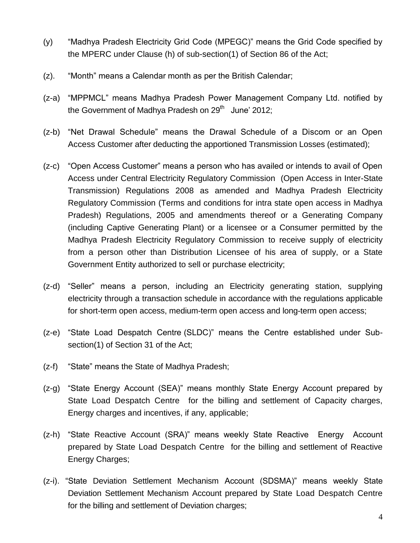- (y) "Madhya Pradesh Electricity Grid Code (MPEGC)" means the Grid Code specified by the MPERC under Clause (h) of sub-section(1) of Section 86 of the Act;
- (z). "Month" means a Calendar month as per the British Calendar;
- (z-a) "MPPMCL" means Madhya Pradesh Power Management Company Ltd. notified by the Government of Madhya Pradesh on 29<sup>th</sup> June' 2012;
- (z-b) "Net Drawal Schedule" means the Drawal Schedule of a Discom or an Open Access Customer after deducting the apportioned Transmission Losses (estimated);
- (z-c) "Open Access Customer" means a person who has availed or intends to avail of Open Access under Central Electricity Regulatory Commission (Open Access in Inter-State Transmission) Regulations 2008 as amended and Madhya Pradesh Electricity Regulatory Commission (Terms and conditions for intra state open access in Madhya Pradesh) Regulations, 2005 and amendments thereof or a Generating Company (including Captive Generating Plant) or a licensee or a Consumer permitted by the Madhya Pradesh Electricity Regulatory Commission to receive supply of electricity from a person other than Distribution Licensee of his area of supply, or a State Government Entity authorized to sell or purchase electricity;
- (z-d) "Seller" means a person, including an Electricity generating station, supplying electricity through a transaction schedule in accordance with the regulations applicable for short-term open access, medium-term open access and long-term open access;
- (z-e) "State Load Despatch Centre (SLDC)" means the Centre established under Subsection(1) of Section 31 of the Act;
- (z-f) "State" means the State of Madhya Pradesh;
- (z-g) "State Energy Account (SEA)" means monthly State Energy Account prepared by State Load Despatch Centre for the billing and settlement of Capacity charges, Energy charges and incentives, if any, applicable;
- (z-h) "State Reactive Account (SRA)" means weekly State Reactive Energy Account prepared by State Load Despatch Centre for the billing and settlement of Reactive Energy Charges;
- (z-i). "State Deviation Settlement Mechanism Account (SDSMA)" means weekly State Deviation Settlement Mechanism Account prepared by State Load Despatch Centre for the billing and settlement of Deviation charges;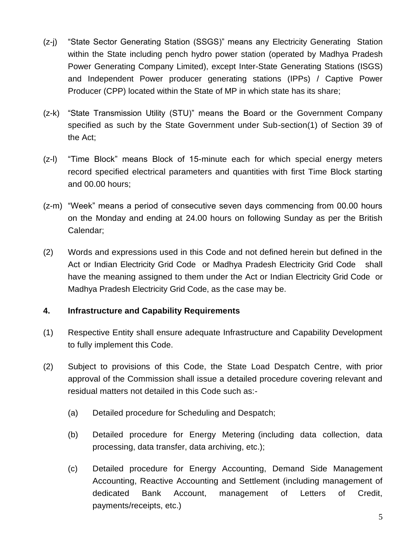- (z-j) "State Sector Generating Station (SSGS)" means any Electricity Generating Station within the State including pench hydro power station (operated by Madhya Pradesh Power Generating Company Limited), except Inter-State Generating Stations (ISGS) and Independent Power producer generating stations (IPPs) / Captive Power Producer (CPP) located within the State of MP in which state has its share;
- (z-k) "State Transmission Utility (STU)" means the Board or the Government Company specified as such by the State Government under Sub-section(1) of Section 39 of the Act;
- (z-l) "Time Block" means Block of 15-minute each for which special energy meters record specified electrical parameters and quantities with first Time Block starting and 00.00 hours;
- (z-m) "Week" means a period of consecutive seven days commencing from 00.00 hours on the Monday and ending at 24.00 hours on following Sunday as per the British Calendar;
- (2) Words and expressions used in this Code and not defined herein but defined in the Act or Indian Electricity Grid Code or Madhya Pradesh Electricity Grid Code shall have the meaning assigned to them under the Act or Indian Electricity Grid Code or Madhya Pradesh Electricity Grid Code, as the case may be.

## **4. Infrastructure and Capability Requirements**

- (1) Respective Entity shall ensure adequate Infrastructure and Capability Development to fully implement this Code.
- (2) Subject to provisions of this Code, the State Load Despatch Centre, with prior approval of the Commission shall issue a detailed procedure covering relevant and residual matters not detailed in this Code such as:-
	- (a) Detailed procedure for Scheduling and Despatch;
	- (b) Detailed procedure for Energy Metering (including data collection, data processing, data transfer, data archiving, etc.);
	- (c) Detailed procedure for Energy Accounting, Demand Side Management Accounting, Reactive Accounting and Settlement (including management of dedicated Bank Account, management of Letters of Credit, payments/receipts, etc.)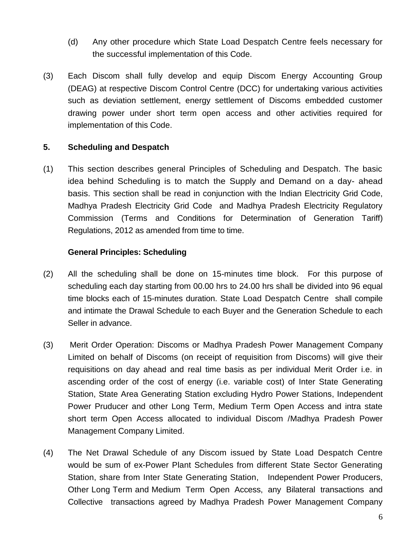- (d) Any other procedure which State Load Despatch Centre feels necessary for the successful implementation of this Code.
- (3) Each Discom shall fully develop and equip Discom Energy Accounting Group (DEAG) at respective Discom Control Centre (DCC) for undertaking various activities such as deviation settlement, energy settlement of Discoms embedded customer drawing power under short term open access and other activities required for implementation of this Code.

## **5. Scheduling and Despatch**

(1) This section describes general Principles of Scheduling and Despatch. The basic idea behind Scheduling is to match the Supply and Demand on a day- ahead basis. This section shall be read in conjunction with the lndian Electricity Grid Code, Madhya Pradesh Electricity Grid Code and Madhya Pradesh Electricity Regulatory Commission (Terms and Conditions for Determination of Generation Tariff) Regulations, 2012 as amended from time to time.

#### **General Principles: Scheduling**

- (2) All the scheduling shall be done on 15-minutes time block. For this purpose of scheduling each day starting from 00.00 hrs to 24.00 hrs shall be divided into 96 equal time blocks each of 15-minutes duration. State Load Despatch Centre shall compile and intimate the Drawal Schedule to each Buyer and the Generation Schedule to each Seller in advance.
- (3) Merit Order Operation: Discoms or Madhya Pradesh Power Management Company Limited on behalf of Discoms (on receipt of requisition from Discoms) will give their requisitions on day ahead and real time basis as per individual Merit Order i.e. in ascending order of the cost of energy (i.e. variable cost) of Inter State Generating Station, State Area Generating Station excluding Hydro Power Stations, Independent Power Pruducer and other Long Term, Medium Term Open Access and intra state short term Open Access allocated to individual Discom /Madhya Pradesh Power Management Company Limited.
- (4) The Net Drawal Schedule of any Discom issued by State Load Despatch Centre would be sum of ex-Power Plant Schedules from different State Sector Generating Station, share from Inter State Generating Station, Independent Power Producers, Other Long Term and Medium Term Open Access, any Bilateral transactions and Collective transactions agreed by Madhya Pradesh Power Management Company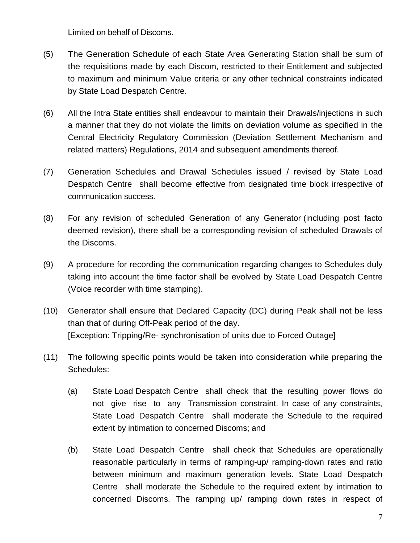Limited on behalf of Discoms.

- (5) The Generation Schedule of each State Area Generating Station shall be sum of the requisitions made by each Discom, restricted to their Entitlement and subjected to maximum and minimum Value criteria or any other technical constraints indicated by State Load Despatch Centre.
- (6) All the Intra State entities shall endeavour to maintain their Drawals/injections in such a manner that they do not violate the limits on deviation volume as specified in the Central Electricity Regulatory Commission (Deviation Settlement Mechanism and related matters) Regulations, 2014 and subsequent amendments thereof.
- (7) Generation Schedules and Drawal Schedules issued / revised by State Load Despatch Centre shall become effective from designated time block irrespective of communication success.
- (8) For any revision of scheduled Generation of any Generator (including post facto deemed revision), there shall be a corresponding revision of scheduled Drawals of the Discoms.
- (9) A procedure for recording the communication regarding changes to Schedules duly taking into account the time factor shall be evolved by State Load Despatch Centre (Voice recorder with time stamping).
- (10) Generator shall ensure that Declared Capacity (DC) during Peak shall not be less than that of during Off-Peak period of the day. [Exception: Tripping/Re- synchronisation of units due to Forced Outage]
- (11) The following specific points would be taken into consideration while preparing the Schedules:
	- (a) State Load Despatch Centre shall check that the resulting power flows do not give rise to any Transmission constraint. In case of any constraints, State Load Despatch Centre shall moderate the Schedule to the required extent by intimation to concerned Discoms; and
	- (b) State Load Despatch Centre shall check that Schedules are operationally reasonable particularly in terms of ramping-up/ ramping-down rates and ratio between minimum and maximum generation levels. State Load Despatch Centre shall moderate the Schedule to the required extent by intimation to concerned Discoms. The ramping up/ ramping down rates in respect of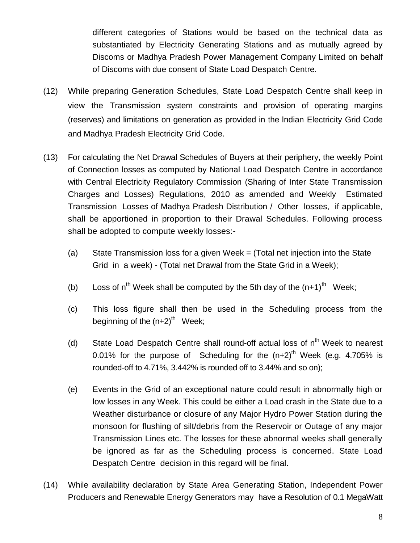different categories of Stations would be based on the technical data as substantiated by Electricity Generating Stations and as mutually agreed by Discoms or Madhya Pradesh Power Management Company Limited on behalf of Discoms with due consent of State Load Despatch Centre.

- (12) While preparing Generation Schedules, State Load Despatch Centre shall keep in view the Transmission system constraints and provision of operating margins (reserves) and limitations on generation as provided in the lndian Electricity Grid Code and Madhya Pradesh Electricity Grid Code.
- (13) For calculating the Net Drawal Schedules of Buyers at their periphery, the weekly Point of Connection losses as computed by National Load Despatch Centre in accordance with Central Electricity Regulatory Commission (Sharing of Inter State Transmission Charges and Losses) Regulations, 2010 as amended and Weekly Estimated Transmission Losses of Madhya Pradesh Distribution / Other losses, if applicable, shall be apportioned in proportion to their Drawal Schedules. Following process shall be adopted to compute weekly losses:-
	- (a) State Transmission loss for a given Week = (Total net injection into the State Grid in a week) - (Total net Drawal from the State Grid in a Week);
	- (b) Loss of  $n^{th}$  Week shall be computed by the 5th day of the  $(n+1)^{th}$  Week;
	- (c) This loss figure shall then be used in the Scheduling process from the beginning of the (n+2)<sup>th</sup> Week;
	- (d) State Load Despatch Centre shall round-off actual loss of  $n<sup>th</sup>$  Week to nearest 0.01% for the purpose of Scheduling for the  $(n+2)^{th}$  Week (e.g. 4.705% is rounded-off to 4.71%, 3.442% is rounded off to 3.44% and so on);
	- (e) Events in the Grid of an exceptional nature could result in abnormally high or low losses in any Week. This could be either a Load crash in the State due to a Weather disturbance or closure of any Major Hydro Power Station during the monsoon for flushing of silt/debris from the Reservoir or Outage of any major Transmission Lines etc. The losses for these abnormal weeks shall generally be ignored as far as the Scheduling process is concerned. State Load Despatch Centre decision in this regard will be final.
- (14) While availability declaration by State Area Generating Station, Independent Power Producers and Renewable Energy Generators may have a Resolution of 0.1 MegaWatt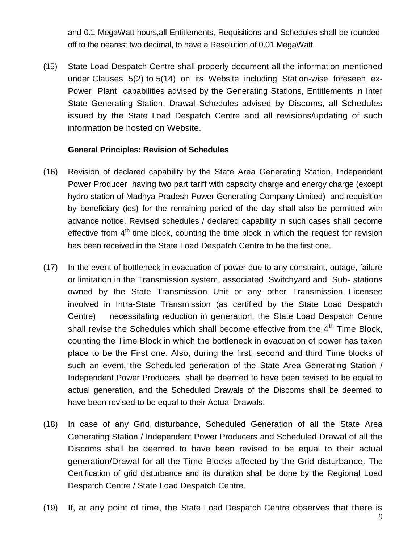and 0.1 MegaWatt hours,all Entitlements, Requisitions and Schedules shall be roundedoff to the nearest two decimal, to have a Resolution of 0.01 MegaWatt.

(15) State Load Despatch Centre shall properly document all the information mentioned under Clauses 5(2) to 5(14) on its Website including Station-wise foreseen ex-Power Plant capabilities advised by the Generating Stations, Entitlements in Inter State Generating Station, Drawal Schedules advised by Discoms, all Schedules issued by the State Load Despatch Centre and all revisions/updating of such information be hosted on Website.

#### **General Principles: Revision of Schedules**

- (16) Revision of declared capability by the State Area Generating Station, Independent Power Producer having two part tariff with capacity charge and energy charge (except hydro station of Madhya Pradesh Power Generating Company Limited) and requisition by beneficiary (ies) for the remaining period of the day shall also be permitted with advance notice. Revised schedules / declared capability in such cases shall become effective from  $4<sup>th</sup>$  time block, counting the time block in which the request for revision has been received in the State Load Despatch Centre to be the first one.
- (17) In the event of bottleneck in evacuation of power due to any constraint, outage, failure or limitation in the Transmission system, associated Switchyard and Sub- stations owned by the State Transmission Unit or any other Transmission Licensee involved in Intra-State Transmission (as certified by the State Load Despatch Centre) necessitating reduction in generation, the State Load Despatch Centre shall revise the Schedules which shall become effective from the  $4<sup>th</sup>$  Time Block, counting the Time Block in which the bottleneck in evacuation of power has taken place to be the First one. Also, during the first, second and third Time blocks of such an event, the Scheduled generation of the State Area Generating Station / Independent Power Producers shall be deemed to have been revised to be equal to actual generation, and the Scheduled Drawals of the Discoms shall be deemed to have been revised to be equal to their Actual Drawals.
- (18) In case of any Grid disturbance, Scheduled Generation of all the State Area Generating Station / Independent Power Producers and Scheduled Drawal of all the Discoms shall be deemed to have been revised to be equal to their actual generation/Drawal for all the Time Blocks affected by the Grid disturbance. The Certification of grid disturbance and its duration shall be done by the Regional Load Despatch Centre / State Load Despatch Centre.
- (19) If, at any point of time, the State Load Despatch Centre observes that there is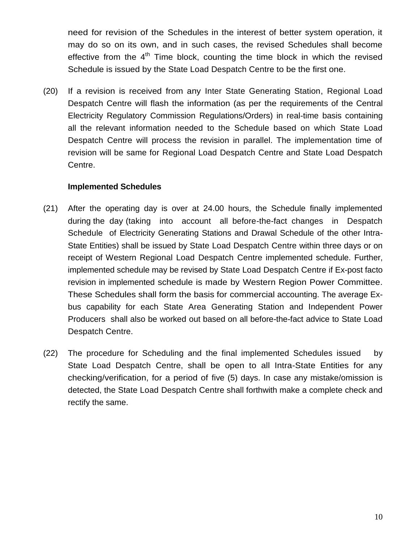need for revision of the Schedules in the interest of better system operation, it may do so on its own, and in such cases, the revised Schedules shall become effective from the  $4<sup>th</sup>$  Time block, counting the time block in which the revised Schedule is issued by the State Load Despatch Centre to be the first one.

(20) If a revision is received from any Inter State Generating Station, Regional Load Despatch Centre will flash the information (as per the requirements of the Central Electricity Regulatory Commission Regulations/Orders) in real-time basis containing all the relevant information needed to the Schedule based on which State Load Despatch Centre will process the revision in parallel. The implementation time of revision will be same for Regional Load Despatch Centre and State Load Despatch Centre.

#### **Implemented Schedules**

- (21) After the operating day is over at 24.00 hours, the Schedule finally implemented during the day (taking into account all before-the-fact changes in Despatch Schedule of Electricity Generating Stations and Drawal Schedule of the other Intra-State Entities) shall be issued by State Load Despatch Centre within three days or on receipt of Western Regional Load Despatch Centre implemented schedule. Further, implemented schedule may be revised by State Load Despatch Centre if Ex-post facto revision in implemented schedule is made by Western Region Power Committee. These Schedules shall form the basis for commercial accounting. The average Exbus capability for each State Area Generating Station and Independent Power Producers shall also be worked out based on all before-the-fact advice to State Load Despatch Centre.
- (22) The procedure for Scheduling and the final implemented Schedules issued by State Load Despatch Centre, shall be open to all Intra-State Entities for any checking/verification, for a period of five (5) days. In case any mistake/omission is detected, the State Load Despatch Centre shall forthwith make a complete check and rectify the same.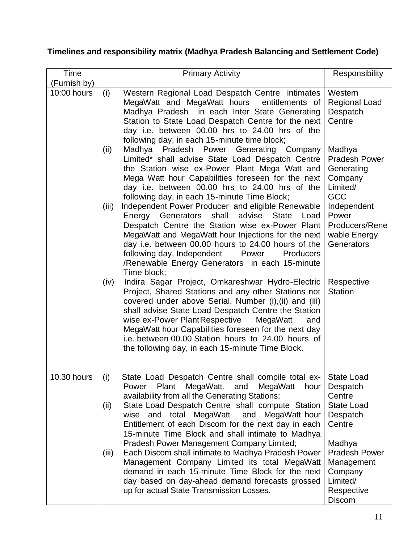# **Timelines and responsibility matrix (Madhya Pradesh Balancing and Settlement Code)**

| Time                | <b>Primary Activity</b>                                                                                                                                                                                                                                                                                                                                                                                                                                 | Responsibility                                                                              |
|---------------------|---------------------------------------------------------------------------------------------------------------------------------------------------------------------------------------------------------------------------------------------------------------------------------------------------------------------------------------------------------------------------------------------------------------------------------------------------------|---------------------------------------------------------------------------------------------|
| <u>(Furnish by)</u> |                                                                                                                                                                                                                                                                                                                                                                                                                                                         |                                                                                             |
| 10:00 hours         | Western Regional Load Despatch Centre intimates<br>(i)<br>MegaWatt and MegaWatt hours entitlements of<br>Madhya Pradesh in each Inter State Generating<br>Station to State Load Despatch Centre for the next<br>day i.e. between 00.00 hrs to 24.00 hrs of the<br>following day, in each 15-minute time block;                                                                                                                                          | Western<br><b>Regional Load</b><br>Despatch<br>Centre                                       |
|                     | Madhya Pradesh Power<br>Generating<br>Company<br>(ii)<br>Limited* shall advise State Load Despatch Centre<br>the Station wise ex-Power Plant Mega Watt and<br>Mega Watt hour Capabilities foreseen for the next<br>day i.e. between 00.00 hrs to 24.00 hrs of the<br>following day, in each 15-minute Time Block;                                                                                                                                       | Madhya<br><b>Pradesh Power</b><br>Generating<br>Company<br>Limited/<br><b>GCC</b>           |
|                     | Independent Power Producer and eligible Renewable<br>(iii)<br>Energy Generators shall<br>advise State Load<br>Despatch Centre the Station wise ex-Power Plant<br>MegaWatt and MegaWatt hour Injections for the next<br>day i.e. between 00.00 hours to 24.00 hours of the<br>following day, Independent<br>Power<br>Producers<br>/Renewable Energy Generators in each 15-minute<br>Time block;                                                          | Independent<br>Power<br>Producers/Rene<br>wable Energy<br>Generators                        |
|                     | Indira Sagar Project, Omkareshwar Hydro-Electric<br>(iv)<br>Project, Shared Stations and any other Stations not<br>covered under above Serial. Number (i), (ii) and (iii)<br>shall advise State Load Despatch Centre the Station<br>wise ex-Power Plant Respective<br>MegaWatt<br>and<br>MegaWatt hour Capabilities foreseen for the next day<br>i.e. between 00.00 Station hours to 24.00 hours of<br>the following day, in each 15-minute Time Block. | Respective<br><b>Station</b>                                                                |
| <b>10.30 hours</b>  | State Load Despatch Centre shall compile total ex-<br>(i)<br>Plant<br>MegaWatt.<br>MegaWatt<br>Power<br>and<br>hour<br>availability from all the Generating Stations;<br>State Load Despatch Centre shall compute Station<br>(ii)                                                                                                                                                                                                                       | State Load<br>Despatch<br>Centre<br><b>State Load</b>                                       |
|                     | wise and total MegaWatt<br>and MegaWatt hour<br>Entitlement of each Discom for the next day in each<br>15-minute Time Block and shall intimate to Madhya                                                                                                                                                                                                                                                                                                | Despatch<br>Centre                                                                          |
|                     | Pradesh Power Management Company Limited;<br>Each Discom shall intimate to Madhya Pradesh Power<br>(iii)<br>Management Company Limited its total MegaWatt<br>demand in each 15-minute Time Block for the next<br>day based on day-ahead demand forecasts grossed<br>up for actual State Transmission Losses.                                                                                                                                            | Madhya<br><b>Pradesh Power</b><br>Management<br>Company<br>Limited/<br>Respective<br>Discom |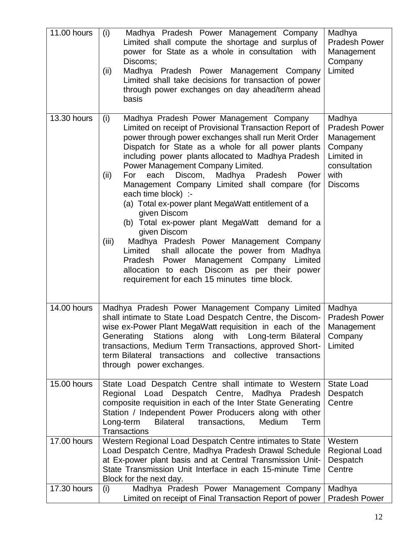| 11.00 hours | (i)<br>Madhya Pradesh Power Management Company<br>Limited shall compute the shortage and surplus of<br>power for State as a whole in consultation with<br>Discoms;<br>(ii)<br>Madhya Pradesh Power Management Company<br>Limited shall take decisions for transaction of power<br>through power exchanges on day ahead/term ahead<br>basis                                                                                                                                                                                                                                                                                                                                                                                                                                                                                                       | Madhya<br><b>Pradesh Power</b><br>Management<br>Company<br>Limited                                              |
|-------------|--------------------------------------------------------------------------------------------------------------------------------------------------------------------------------------------------------------------------------------------------------------------------------------------------------------------------------------------------------------------------------------------------------------------------------------------------------------------------------------------------------------------------------------------------------------------------------------------------------------------------------------------------------------------------------------------------------------------------------------------------------------------------------------------------------------------------------------------------|-----------------------------------------------------------------------------------------------------------------|
| 13.30 hours | (i)<br>Madhya Pradesh Power Management Company<br>Limited on receipt of Provisional Transaction Report of<br>power through power exchanges shall run Merit Order<br>Dispatch for State as a whole for all power plants<br>including power plants allocated to Madhya Pradesh<br>Power Management Company Limited.<br>Discom, Madhya Pradesh<br>(ii)<br>For<br>each<br>Power<br>Management Company Limited shall compare (for<br>each time block) :-<br>(a) Total ex-power plant MegaWatt entitlement of a<br>given Discom<br>(b) Total ex-power plant MegaWatt demand for a<br>given Discom<br>(iii)<br>Madhya Pradesh Power Management Company<br>shall allocate the power from Madhya<br>Limited<br>Pradesh Power Management Company<br>Limited<br>allocation to each Discom as per their power<br>requirement for each 15 minutes time block. | Madhya<br><b>Pradesh Power</b><br>Management<br>Company<br>Limited in<br>consultation<br>with<br><b>Discoms</b> |
| 14.00 hours | Madhya Pradesh Power Management Company Limited<br>shall intimate to State Load Despatch Centre, the Discom-<br>wise ex-Power Plant MegaWatt requisition in each of the<br>Generating Stations along with Long-term Bilateral<br>transactions, Medium Term Transactions, approved Short-<br>term Bilateral transactions and collective transactions<br>through power exchanges.                                                                                                                                                                                                                                                                                                                                                                                                                                                                  | Madhya<br><b>Pradesh Power</b><br>Management<br>Company<br>Limited                                              |
| 15.00 hours | State Load Despatch Centre shall intimate to Western<br>Regional Load Despatch Centre, Madhya Pradesh<br>composite requisition in each of the Inter State Generating<br>Station / Independent Power Producers along with other<br><b>Bilateral</b><br>Medium<br>Long-term<br>transactions,<br>Term<br><b>Transactions</b>                                                                                                                                                                                                                                                                                                                                                                                                                                                                                                                        | <b>State Load</b><br>Despatch<br>Centre                                                                         |
| 17.00 hours | Western Regional Load Despatch Centre intimates to State<br>Load Despatch Centre, Madhya Pradesh Drawal Schedule<br>at Ex-power plant basis and at Central Transmission Unit-<br>State Transmission Unit Interface in each 15-minute Time<br>Block for the next day.                                                                                                                                                                                                                                                                                                                                                                                                                                                                                                                                                                             | Western<br><b>Regional Load</b><br>Despatch<br>Centre                                                           |
| 17.30 hours | Madhya Pradesh Power Management Company<br>(i)<br>Limited on receipt of Final Transaction Report of power                                                                                                                                                                                                                                                                                                                                                                                                                                                                                                                                                                                                                                                                                                                                        | Madhya<br><b>Pradesh Power</b>                                                                                  |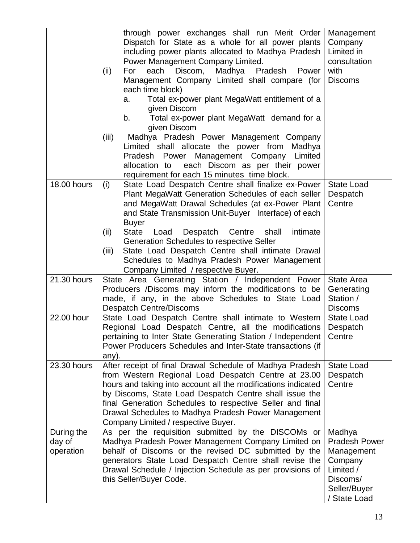|                                   | through power exchanges shall run Merit Order<br>Dispatch for State as a whole for all power plants<br>including power plants allocated to Madhya Pradesh<br>Power Management Company Limited.<br>For each Discom, Madhya Pradesh<br>Power<br>(ii)<br>Management Company Limited shall compare (for<br>each time block)<br>Total ex-power plant MegaWatt entitlement of a<br>a.<br>given Discom<br>Total ex-power plant MegaWatt demand for a<br>b.<br>given Discom<br>Madhya Pradesh Power Management Company<br>(iii) | Management<br>Company<br>Limited in<br>consultation<br>with<br><b>Discoms</b>                                    |
|-----------------------------------|-------------------------------------------------------------------------------------------------------------------------------------------------------------------------------------------------------------------------------------------------------------------------------------------------------------------------------------------------------------------------------------------------------------------------------------------------------------------------------------------------------------------------|------------------------------------------------------------------------------------------------------------------|
|                                   | Limited shall allocate the power from<br>Madhya<br>Pradesh Power Management Company Limited<br>allocation to each Discom as per their power<br>requirement for each 15 minutes time block.                                                                                                                                                                                                                                                                                                                              |                                                                                                                  |
| <b>18.00 hours</b>                | State Load Despatch Centre shall finalize ex-Power<br>(i)<br>Plant MegaWatt Generation Schedules of each seller<br>and MegaWatt Drawal Schedules (at ex-Power Plant<br>and State Transmission Unit-Buyer Interface) of each<br><b>Buyer</b><br>(ii)<br>Load<br>Despatch Centre<br>shall<br>intimate<br>State<br>Generation Schedules to respective Seller<br>State Load Despatch Centre shall intimate Drawal<br>(iii)<br>Schedules to Madhya Pradesh Power Management<br>Company Limited / respective Buyer.           | <b>State Load</b><br>Despatch<br>Centre                                                                          |
| 21.30 hours                       | State Area Generating Station / Independent Power<br>Producers /Discoms may inform the modifications to be<br>made, if any, in the above Schedules to State Load<br><b>Despatch Centre/Discoms</b>                                                                                                                                                                                                                                                                                                                      | State Area<br>Generating<br>Station /<br><b>Discoms</b>                                                          |
| 22.00 hour                        | State Load Despatch Centre shall intimate to Western<br>Regional Load Despatch Centre, all the modifications<br>pertaining to Inter State Generating Station / Independent  <br>Power Producers Schedules and Inter-State transactions (if<br>any).                                                                                                                                                                                                                                                                     | <b>State Load</b><br>Despatch<br>Centre                                                                          |
| 23.30 hours                       | After receipt of final Drawal Schedule of Madhya Pradesh<br>from Western Regional Load Despatch Centre at 23.00<br>hours and taking into account all the modifications indicated<br>by Discoms, State Load Despatch Centre shall issue the<br>final Generation Schedules to respective Seller and final<br>Drawal Schedules to Madhya Pradesh Power Management<br>Company Limited / respective Buyer.                                                                                                                   | <b>State Load</b><br>Despatch<br>Centre                                                                          |
| During the<br>day of<br>operation | As per the requisition submitted by the DISCOMs or<br>Madhya Pradesh Power Management Company Limited on<br>behalf of Discoms or the revised DC submitted by the<br>generators State Load Despatch Centre shall revise the<br>Drawal Schedule / Injection Schedule as per provisions of<br>this Seller/Buyer Code.                                                                                                                                                                                                      | Madhya<br><b>Pradesh Power</b><br>Management<br>Company<br>Limited /<br>Discoms/<br>Seller/Buyer<br>/ State Load |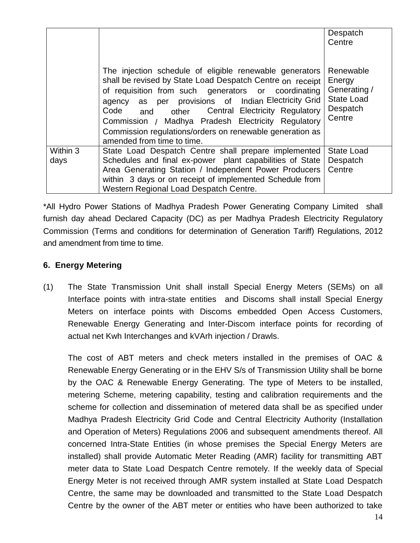|                  |                                                                                                                                                                                                                                                                                                                                                                                                                                        | Despatch<br>Centre                                                             |
|------------------|----------------------------------------------------------------------------------------------------------------------------------------------------------------------------------------------------------------------------------------------------------------------------------------------------------------------------------------------------------------------------------------------------------------------------------------|--------------------------------------------------------------------------------|
|                  | The injection schedule of eligible renewable generators<br>shall be revised by State Load Despatch Centre on receipt<br>of requisition from such generators or coordinating<br>agency as per provisions of Indian Electricity Grid<br>Code<br>and other Central Electricity Regulatory<br>Commission / Madhya Pradesh Electricity Regulatory<br>Commission regulations/orders on renewable generation as<br>amended from time to time. | Renewable<br>Energy<br>Generating /<br><b>State Load</b><br>Despatch<br>Centre |
| Within 3<br>days | State Load Despatch Centre shall prepare implemented<br>Schedules and final ex-power plant capabilities of State<br>Area Generating Station / Independent Power Producers<br>within 3 days or on receipt of implemented Schedule from<br>Western Regional Load Despatch Centre.                                                                                                                                                        | <b>State Load</b><br>Despatch<br>Centre                                        |

\*All Hydro Power Stations of Madhya Pradesh Power Generating Company Limited shall furnish day ahead Declared Capacity (DC) as per Madhya Pradesh Electricity Regulatory Commission (Terms and conditions for determination of Generation Tariff) Regulations, 2012 and amendment from time to time.

## **6. Energy Metering**

(1) The State Transmission Unit shall install Special Energy Meters (SEMs) on all Interface points with intra-state entities and Discoms shall install Special Energy Meters on interface points with Discoms embedded Open Access Customers, Renewable Energy Generating and Inter-Discom interface points for recording of actual net Kwh Interchanges and kVArh injection / Drawls.

The cost of ABT meters and check meters installed in the premises of OAC & Renewable Energy Generating or in the EHV S/s of Transmission Utility shall be borne by the OAC & Renewable Energy Generating. The type of Meters to be installed, metering Scheme, metering capability, testing and calibration requirements and the scheme for collection and dissemination of metered data shall be as specified under Madhya Pradesh Electricity Grid Code and Central Electricity Authority (Installation and Operation of Meters) Regulations 2006 and subsequent amendments thereof. All concerned Intra-State Entities (in whose premises the Special Energy Meters are installed) shall provide Automatic Meter Reading (AMR) facility for transmitting ABT meter data to State Load Despatch Centre remotely. If the weekly data of Special Energy Meter is not received through AMR system installed at State Load Despatch Centre, the same may be downloaded and transmitted to the State Load Despatch Centre by the owner of the ABT meter or entities who have been authorized to take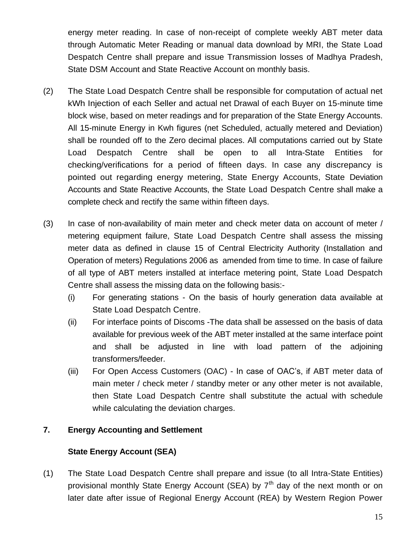energy meter reading. In case of non-receipt of complete weekly ABT meter data through Automatic Meter Reading or manual data download by MRI, the State Load Despatch Centre shall prepare and issue Transmission losses of Madhya Pradesh, State DSM Account and State Reactive Account on monthly basis.

- (2) The State Load Despatch Centre shall be responsible for computation of actual net kWh Injection of each Seller and actual net Drawal of each Buyer on 15-minute time block wise, based on meter readings and for preparation of the State Energy Accounts. All 15-minute Energy in Kwh figures (net Scheduled, actually metered and Deviation) shall be rounded off to the Zero decimal places. All computations carried out by State Load Despatch Centre shall be open to all Intra-State Entities for checking/verifications for a period of fifteen days. In case any discrepancy is pointed out regarding energy metering, State Energy Accounts, State Deviation Accounts and State Reactive Accounts, the State Load Despatch Centre shall make a complete check and rectify the same within fifteen days.
- (3) In case of non-availability of main meter and check meter data on account of meter / metering equipment failure, State Load Despatch Centre shall assess the missing meter data as defined in clause 15 of Central Electricity Authority (Installation and Operation of meters) Regulations 2006 as amended from time to time. In case of failure of all type of ABT meters installed at interface metering point, State Load Despatch Centre shall assess the missing data on the following basis:-
	- (i) For generating stations On the basis of hourly generation data available at State Load Despatch Centre.
	- (ii) For interface points of Discoms -The data shall be assessed on the basis of data available for previous week of the ABT meter installed at the same interface point and shall be adjusted in line with load pattern of the adjoining transformers/feeder.
	- (iii) For Open Access Customers (OAC) In case of OAC's, if ABT meter data of main meter / check meter / standby meter or any other meter is not available, then State Load Despatch Centre shall substitute the actual with schedule while calculating the deviation charges.

## **7. Energy Accounting and Settlement**

## **State Energy Account (SEA)**

(1) The State Load Despatch Centre shall prepare and issue (to all Intra-State Entities) provisional monthly State Energy Account (SEA) by  $7<sup>th</sup>$  day of the next month or on later date after issue of Regional Energy Account (REA) by Western Region Power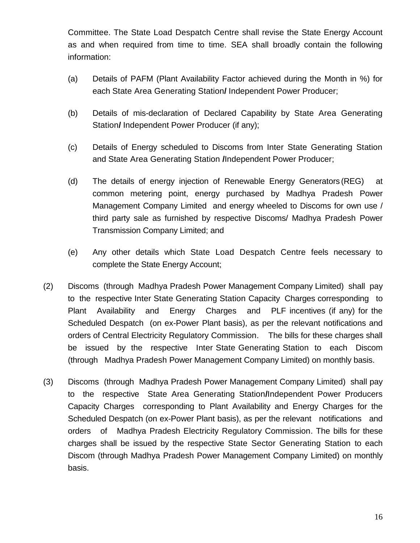Committee. The State Load Despatch Centre shall revise the State Energy Account as and when required from time to time. SEA shall broadly contain the following information:

- (a) Details of PAFM (Plant Availability Factor achieved during the Month in %) for each State Area Generating Station**/** Independent Power Producer;
- (b) Details of mis-declaration of Declared Capability by State Area Generating Station**/** Independent Power Producer (if any);
- (c) Details of Energy scheduled to Discoms from Inter State Generating Station and State Area Generating Station **/**Independent Power Producer;
- (d) The details of energy injection of Renewable Energy Generators (REG) at common metering point, energy purchased by Madhya Pradesh Power Management Company Limited and energy wheeled to Discoms for own use / third party sale as furnished by respective Discoms/ Madhya Pradesh Power Transmission Company Limited; and
- (e) Any other details which State Load Despatch Centre feels necessary to complete the State Energy Account;
- (2) Discoms (through Madhya Pradesh Power Management Company Limited) shall pay to the respective Inter State Generating Station Capacity Charges corresponding to Plant Availability and Energy Charges and PLF incentives (if any) for the Scheduled Despatch (on ex-Power Plant basis), as per the relevant notifications and orders of Central Electricity Regulatory Commission. The bills for these charges shall be issued by the respective Inter State Generating Station to each Discom (through Madhya Pradesh Power Management Company Limited) on monthly basis.
- (3) Discoms (through Madhya Pradesh Power Management Company Limited) shall pay to the respective State Area Generating Station**/**Independent Power Producers Capacity Charges corresponding to Plant Availability and Energy Charges for the Scheduled Despatch (on ex-Power Plant basis), as per the relevant notifications and orders of Madhya Pradesh Electricity Regulatory Commission. The bills for these charges shall be issued by the respective State Sector Generating Station to each Discom (through Madhya Pradesh Power Management Company Limited) on monthly basis.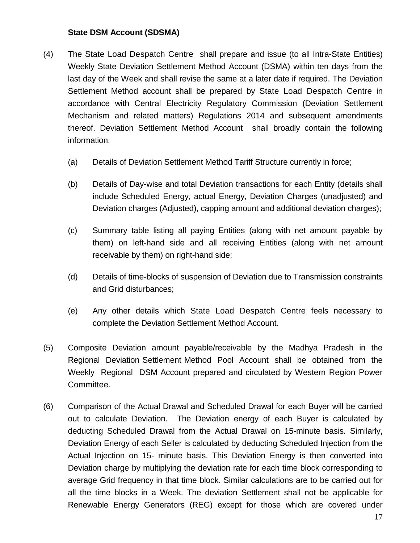#### **State DSM Account (SDSMA)**

- (4) The State Load Despatch Centre shall prepare and issue (to all Intra-State Entities) Weekly State Deviation Settlement Method Account (DSMA) within ten days from the last day of the Week and shall revise the same at a later date if required. The Deviation Settlement Method account shall be prepared by State Load Despatch Centre in accordance with Central Electricity Regulatory Commission (Deviation Settlement Mechanism and related matters) Regulations 2014 and subsequent amendments thereof. Deviation Settlement Method Account shall broadly contain the following information:
	- (a) Details of Deviation Settlement Method Tariff Structure currently in force;
	- (b) Details of Day-wise and total Deviation transactions for each Entity (details shall include Scheduled Energy, actual Energy, Deviation Charges (unadjusted) and Deviation charges (Adjusted), capping amount and additional deviation charges);
	- (c) Summary table listing all paying Entities (along with net amount payable by them) on left-hand side and all receiving Entities (along with net amount receivable by them) on right-hand side;
	- (d) Details of time-blocks of suspension of Deviation due to Transmission constraints and Grid disturbances;
	- (e) Any other details which State Load Despatch Centre feels necessary to complete the Deviation Settlement Method Account.
- (5) Composite Deviation amount payable/receivable by the Madhya Pradesh in the Regional Deviation Settlement Method Pool Account shall be obtained from the Weekly Regional DSM Account prepared and circulated by Western Region Power Committee.
- (6) Comparison of the Actual Drawal and Scheduled Drawal for each Buyer will be carried out to calculate Deviation. The Deviation energy of each Buyer is calculated by deducting Scheduled Drawal from the Actual Drawal on 15-minute basis. Similarly, Deviation Energy of each Seller is calculated by deducting Scheduled Injection from the Actual Injection on 15- minute basis. This Deviation Energy is then converted into Deviation charge by multiplying the deviation rate for each time block corresponding to average Grid frequency in that time block. Similar calculations are to be carried out for all the time blocks in a Week. The deviation Settlement shall not be applicable for Renewable Energy Generators (REG) except for those which are covered under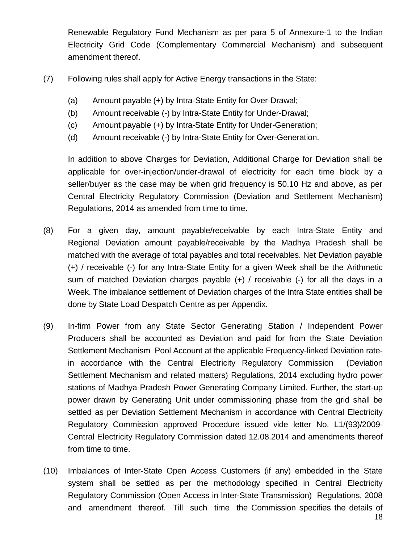Renewable Regulatory Fund Mechanism as per para 5 of Annexure-1 to the Indian Electricity Grid Code (Complementary Commercial Mechanism) and subsequent amendment thereof.

- (7) Following rules shall apply for Active Energy transactions in the State:
	- (a) Amount payable (+) by Intra-State Entity for Over-Drawal;
	- (b) Amount receivable (-) by Intra-State Entity for Under-Drawal;
	- (c) Amount payable (+) by Intra-State Entity for Under-Generation;
	- (d) Amount receivable (-) by Intra-State Entity for Over-Generation.

In addition to above Charges for Deviation, Additional Charge for Deviation shall be applicable for over-injection/under-drawal of electricity for each time block by a seller/buyer as the case may be when grid frequency is 50.10 Hz and above, as per Central Electricity Regulatory Commission (Deviation and Settlement Mechanism) Regulations, 2014 as amended from time to time**.**

- (8) For a given day, amount payable/receivable by each Intra-State Entity and Regional Deviation amount payable/receivable by the Madhya Pradesh shall be matched with the average of total payables and total receivables. Net Deviation payable (+) / receivable (-) for any Intra-State Entity for a given Week shall be the Arithmetic sum of matched Deviation charges payable (+) / receivable (-) for all the days in a Week. The imbalance settlement of Deviation charges of the Intra State entities shall be done by State Load Despatch Centre as per Appendix.
- (9) In-firm Power from any State Sector Generating Station / Independent Power Producers shall be accounted as Deviation and paid for from the State Deviation Settlement Mechanism Pool Account at the applicable Frequency-linked Deviation ratein accordance with the Central Electricity Regulatory Commission (Deviation Settlement Mechanism and related matters) Regulations, 2014 excluding hydro power stations of Madhya Pradesh Power Generating Company Limited. Further, the start-up power drawn by Generating Unit under commissioning phase from the grid shall be settled as per Deviation Settlement Mechanism in accordance with Central Electricity Regulatory Commission approved Procedure issued vide letter No. L1/(93)/2009- Central Electricity Regulatory Commission dated 12.08.2014 and amendments thereof from time to time.
- (10) Imbalances of Inter-State Open Access Customers (if any) embedded in the State system shall be settled as per the methodology specified in Central Electricity Regulatory Commission (Open Access in Inter-State Transmission) Regulations, 2008 and amendment thereof. Till such time the Commission specifies the details of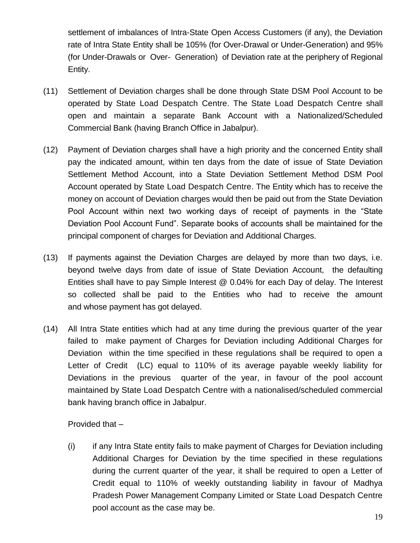settlement of imbalances of Intra-State Open Access Customers (if any), the Deviation rate of Intra State Entity shall be 105% (for Over-Drawal or Under-Generation) and 95% (for Under-Drawals or Over- Generation) of Deviation rate at the periphery of Regional Entity.

- (11) Settlement of Deviation charges shall be done through State DSM Pool Account to be operated by State Load Despatch Centre. The State Load Despatch Centre shall open and maintain a separate Bank Account with a Nationalized/Scheduled Commercial Bank (having Branch Office in Jabalpur).
- (12) Payment of Deviation charges shall have a high priority and the concerned Entity shall pay the indicated amount, within ten days from the date of issue of State Deviation Settlement Method Account, into a State Deviation Settlement Method DSM Pool Account operated by State Load Despatch Centre. The Entity which has to receive the money on account of Deviation charges would then be paid out from the State Deviation Pool Account within next two working days of receipt of payments in the "State Deviation Pool Account Fund". Separate books of accounts shall be maintained for the principal component of charges for Deviation and Additional Charges.
- (13) If payments against the Deviation Charges are delayed by more than two days, i.e. beyond twelve days from date of issue of State Deviation Account, the defaulting Entities shall have to pay Simple Interest @ 0.04% for each Day of delay. The Interest so collected shall be paid to the Entities who had to receive the amount and whose payment has got delayed.
- (14) All Intra State entities which had at any time during the previous quarter of the year failed to make payment of Charges for Deviation including Additional Charges for Deviation within the time specified in these regulations shall be required to open a Letter of Credit (LC) equal to 110% of its average payable weekly liability for Deviations in the previous quarter of the year, in favour of the pool account maintained by State Load Despatch Centre with a nationalised/scheduled commercial bank having branch office in Jabalpur.

Provided that –

(i) if any Intra State entity fails to make payment of Charges for Deviation including Additional Charges for Deviation by the time specified in these regulations during the current quarter of the year, it shall be required to open a Letter of Credit equal to 110% of weekly outstanding liability in favour of Madhya Pradesh Power Management Company Limited or State Load Despatch Centre pool account as the case may be.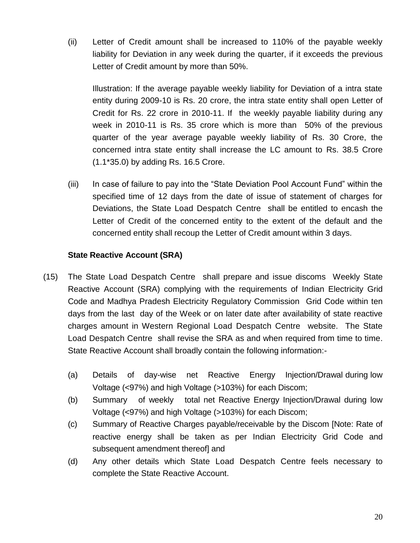(ii) Letter of Credit amount shall be increased to 110% of the payable weekly liability for Deviation in any week during the quarter, if it exceeds the previous Letter of Credit amount by more than 50%.

Illustration: If the average payable weekly liability for Deviation of a intra state entity during 2009-10 is Rs. 20 crore, the intra state entity shall open Letter of Credit for Rs. 22 crore in 2010-11. If the weekly payable liability during any week in 2010-11 is Rs. 35 crore which is more than 50% of the previous quarter of the year average payable weekly liability of Rs. 30 Crore, the concerned intra state entity shall increase the LC amount to Rs. 38.5 Crore (1.1\*35.0) by adding Rs. 16.5 Crore.

(iii) In case of failure to pay into the "State Deviation Pool Account Fund" within the specified time of 12 days from the date of issue of statement of charges for Deviations, the State Load Despatch Centre shall be entitled to encash the Letter of Credit of the concerned entity to the extent of the default and the concerned entity shall recoup the Letter of Credit amount within 3 days.

## **State Reactive Account (SRA)**

- (15) The State Load Despatch Centre shall prepare and issue discoms Weekly State Reactive Account (SRA) complying with the requirements of Indian Electricity Grid Code and Madhya Pradesh Electricity Regulatory Commission Grid Code within ten days from the last day of the Week or on later date after availability of state reactive charges amount in Western Regional Load Despatch Centre website. The State Load Despatch Centre shall revise the SRA as and when required from time to time. State Reactive Account shall broadly contain the following information:-
	- (a) Details of day-wise net Reactive Energy Injection/Drawal during low Voltage (<97%) and high Voltage (>103%) for each Discom;
	- (b) Summary of weekly total net Reactive Energy Injection/Drawal during low Voltage (<97%) and high Voltage (>103%) for each Discom;
	- (c) Summary of Reactive Charges payable/receivable by the Discom [Note: Rate of reactive energy shall be taken as per Indian Electricity Grid Code and subsequent amendment thereof] and
	- (d) Any other details which State Load Despatch Centre feels necessary to complete the State Reactive Account.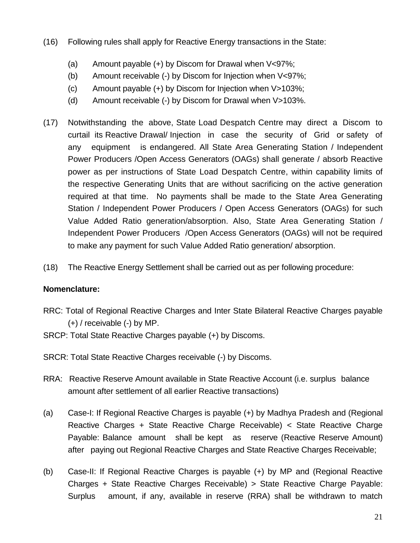- (16) Following rules shall apply for Reactive Energy transactions in the State:
	- (a) Amount payable (+) by Discom for Drawal when V<97%;
	- (b) Amount receivable (-) by Discom for Injection when V<97%;
	- (c) Amount payable (+) by Discom for Injection when V>103%;
	- (d) Amount receivable (-) by Discom for Drawal when V>103%.
- (17) Notwithstanding the above, State Load Despatch Centre may direct a Discom to curtail its Reactive Drawal/ Injection in case the security of Grid or safety of any equipment is endangered. All State Area Generating Station / Independent Power Producers /Open Access Generators (OAGs) shall generate / absorb Reactive power as per instructions of State Load Despatch Centre, within capability limits of the respective Generating Units that are without sacrificing on the active generation required at that time. No payments shall be made to the State Area Generating Station / Independent Power Producers / Open Access Generators (OAGs) for such Value Added Ratio generation/absorption. Also, State Area Generating Station / Independent Power Producers /Open Access Generators (OAGs) will not be required to make any payment for such Value Added Ratio generation/ absorption.
- (18) The Reactive Energy Settlement shall be carried out as per following procedure:

## **Nomenclature:**

- RRC: Total of Regional Reactive Charges and Inter State Bilateral Reactive Charges payable (+) / receivable (-) by MP.
- SRCP: Total State Reactive Charges payable (+) by Discoms.
- SRCR: Total State Reactive Charges receivable (-) by Discoms.
- RRA: Reactive Reserve Amount available in State Reactive Account (i.e. surplus balance amount after settlement of all earlier Reactive transactions)
- (a) Case-I: If Regional Reactive Charges is payable (+) by Madhya Pradesh and (Regional Reactive Charges + State Reactive Charge Receivable) < State Reactive Charge Payable: Balance amount shall be kept as reserve (Reactive Reserve Amount) after paying out Regional Reactive Charges and State Reactive Charges Receivable;
- (b) Case-II: If Regional Reactive Charges is payable (+) by MP and (Regional Reactive Charges + State Reactive Charges Receivable) > State Reactive Charge Payable: Surplus amount, if any, available in reserve (RRA) shall be withdrawn to match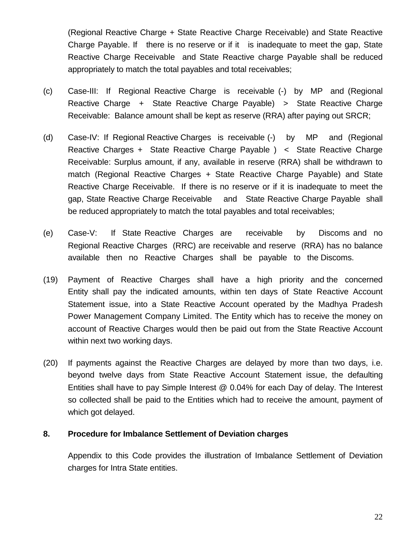(Regional Reactive Charge + State Reactive Charge Receivable) and State Reactive Charge Payable. If there is no reserve or if it is inadequate to meet the gap, State Reactive Charge Receivable and State Reactive charge Payable shall be reduced appropriately to match the total payables and total receivables;

- (c) Case-III: If Regional Reactive Charge is receivable (-) by MP and (Regional Reactive Charge + State Reactive Charge Payable) > State Reactive Charge Receivable: Balance amount shall be kept as reserve (RRA) after paying out SRCR;
- (d) Case-IV: If Regional Reactive Charges is receivable (-) by MP and (Regional Reactive Charges + State Reactive Charge Payable ) < State Reactive Charge Receivable: Surplus amount, if any, available in reserve (RRA) shall be withdrawn to match (Regional Reactive Charges + State Reactive Charge Payable) and State Reactive Charge Receivable. If there is no reserve or if it is inadequate to meet the gap, State Reactive Charge Receivable and State Reactive Charge Payable shall be reduced appropriately to match the total payables and total receivables;
- (e) Case-V: If State Reactive Charges are receivable by Discoms and no Regional Reactive Charges (RRC) are receivable and reserve (RRA) has no balance available then no Reactive Charges shall be payable to the Discoms.
- (19) Payment of Reactive Charges shall have a high priority and the concerned Entity shall pay the indicated amounts, within ten days of State Reactive Account Statement issue, into a State Reactive Account operated by the Madhya Pradesh Power Management Company Limited. The Entity which has to receive the money on account of Reactive Charges would then be paid out from the State Reactive Account within next two working days.
- (20) If payments against the Reactive Charges are delayed by more than two days, i.e. beyond twelve days from State Reactive Account Statement issue, the defaulting Entities shall have to pay Simple Interest @ 0.04% for each Day of delay. The Interest so collected shall be paid to the Entities which had to receive the amount, payment of which got delayed.

#### **8. Procedure for Imbalance Settlement of Deviation charges**

Appendix to this Code provides the illustration of Imbalance Settlement of Deviation charges for Intra State entities.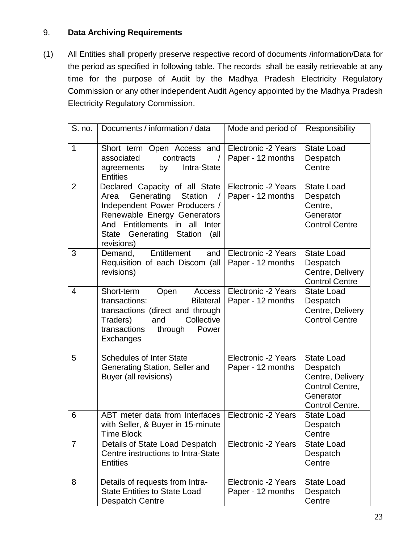## 9. **Data Archiving Requirements**

(1) All Entities shall properly preserve respective record of documents /information/Data for the period as specified in following table. The records shall be easily retrievable at any time for the purpose of Audit by the Madhya Pradesh Electricity Regulatory Commission or any other independent Audit Agency appointed by the Madhya Pradesh Electricity Regulatory Commission.

| S. no.         | Documents / information / data                                                                                                                                                                                                           | Mode and period of                              | Responsibility                                                                                       |
|----------------|------------------------------------------------------------------------------------------------------------------------------------------------------------------------------------------------------------------------------------------|-------------------------------------------------|------------------------------------------------------------------------------------------------------|
| $\mathbf{1}$   | Short term Open Access and<br>associated<br>contracts<br>$\prime$<br>Intra-State<br>agreements<br>by<br><b>Entities</b>                                                                                                                  | Electronic -2 Years<br>Paper - 12 months        | <b>State Load</b><br>Despatch<br>Centre                                                              |
| 2              | Declared Capacity of all State<br>Generating<br><b>Station</b><br>Area<br>$\prime$<br>Independent Power Producers /<br>Renewable Energy Generators<br>And Entitlements in all<br>Inter<br>State Generating Station<br>(all<br>revisions) | <b>Electronic -2 Years</b><br>Paper - 12 months | <b>State Load</b><br>Despatch<br>Centre,<br>Generator<br><b>Control Centre</b>                       |
| 3              | and<br>Entitlement<br>Demand,<br>Requisition of each Discom (all<br>revisions)                                                                                                                                                           | Electronic -2 Years<br>Paper - 12 months        | <b>State Load</b><br>Despatch<br>Centre, Delivery<br><b>Control Centre</b>                           |
| $\overline{4}$ | Short-term<br>Open<br><b>Access</b><br>transactions:<br><b>Bilateral</b><br>transactions (direct and through<br>Collective<br>Traders)<br>and<br>transactions<br>through<br>Power<br>Exchanges                                           | Electronic -2 Years<br>Paper - 12 months        | <b>State Load</b><br>Despatch<br>Centre, Delivery<br><b>Control Centre</b>                           |
| 5              | <b>Schedules of Inter State</b><br>Generating Station, Seller and<br>Buyer (all revisions)                                                                                                                                               | Electronic -2 Years<br>Paper - 12 months        | <b>State Load</b><br>Despatch<br>Centre, Delivery<br>Control Centre,<br>Generator<br>Control Centre. |
| 6              | ABT meter data from Interfaces<br>with Seller, & Buyer in 15-minute<br><b>Time Block</b>                                                                                                                                                 | Electronic -2 Years                             | <b>State Load</b><br>Despatch<br>Centre                                                              |
| 7              | Details of State Load Despatch<br>Centre instructions to Intra-State<br><b>Entities</b>                                                                                                                                                  | Electronic -2 Years                             | <b>State Load</b><br>Despatch<br>Centre                                                              |
| 8              | Details of requests from Intra-<br><b>State Entities to State Load</b><br><b>Despatch Centre</b>                                                                                                                                         | Electronic -2 Years<br>Paper - 12 months        | <b>State Load</b><br>Despatch<br>Centre                                                              |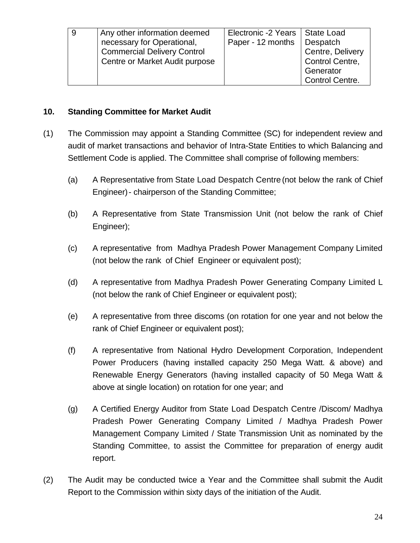| Any other information deemed       | Electronic -2 Years | State Load             |
|------------------------------------|---------------------|------------------------|
| necessary for Operational,         | Paper - 12 months   | Despatch               |
| <b>Commercial Delivery Control</b> |                     | Centre, Delivery       |
| Centre or Market Audit purpose     |                     | Control Centre,        |
|                                    |                     | Generator              |
|                                    |                     | <b>Control Centre.</b> |

#### **10. Standing Committee for Market Audit**

- (1) The Commission may appoint a Standing Committee (SC) for independent review and audit of market transactions and behavior of Intra-State Entities to which Balancing and Settlement Code is applied. The Committee shall comprise of following members:
	- (a) A Representative from State Load Despatch Centre (not below the rank of Chief Engineer)- chairperson of the Standing Committee;
	- (b) A Representative from State Transmission Unit (not below the rank of Chief Engineer);
	- (c) A representative from Madhya Pradesh Power Management Company Limited (not below the rank of Chief Engineer or equivalent post);
	- (d) A representative from Madhya Pradesh Power Generating Company Limited L (not below the rank of Chief Engineer or equivalent post);
	- (e) A representative from three discoms (on rotation for one year and not below the rank of Chief Engineer or equivalent post);
	- (f) A representative from National Hydro Development Corporation, Independent Power Producers (having installed capacity 250 Mega Watt. & above) and Renewable Energy Generators (having installed capacity of 50 Mega Watt & above at single location) on rotation for one year; and
	- (g) A Certified Energy Auditor from State Load Despatch Centre /Discom/ Madhya Pradesh Power Generating Company Limited / Madhya Pradesh Power Management Company Limited / State Transmission Unit as nominated by the Standing Committee, to assist the Committee for preparation of energy audit report.
- (2) The Audit may be conducted twice a Year and the Committee shall submit the Audit Report to the Commission within sixty days of the initiation of the Audit.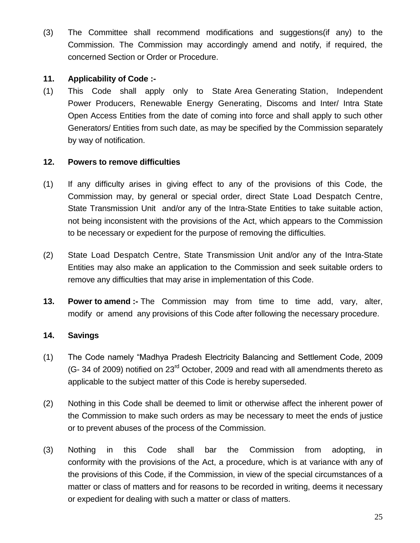(3) The Committee shall recommend modifications and suggestions(if any) to the Commission. The Commission may accordingly amend and notify, if required, the concerned Section or Order or Procedure.

## **11. Applicability of Code :-**

(1) This Code shall apply only to State Area Generating Station, Independent Power Producers, Renewable Energy Generating, Discoms and Inter/ Intra State Open Access Entities from the date of coming into force and shall apply to such other Generators/ Entities from such date, as may be specified by the Commission separately by way of notification.

## **12. Powers to remove difficulties**

- (1) If any difficulty arises in giving effect to any of the provisions of this Code, the Commission may, by general or special order, direct State Load Despatch Centre, State Transmission Unit and/or any of the Intra-State Entities to take suitable action, not being inconsistent with the provisions of the Act, which appears to the Commission to be necessary or expedient for the purpose of removing the difficulties.
- (2) State Load Despatch Centre, State Transmission Unit and/or any of the Intra-State Entities may also make an application to the Commission and seek suitable orders to remove any difficulties that may arise in implementation of this Code.
- **13. Power to amend :-** The Commission may from time to time add, vary, alter, modify or amend any provisions of this Code after following the necessary procedure.

## **14. Savings**

- (1) The Code namely "Madhya Pradesh Electricity Balancing and Settlement Code, 2009 (G- 34 of 2009) notified on  $23<sup>rd</sup>$  October, 2009 and read with all amendments thereto as applicable to the subject matter of this Code is hereby superseded.
- (2) Nothing in this Code shall be deemed to limit or otherwise affect the inherent power of the Commission to make such orders as may be necessary to meet the ends of justice or to prevent abuses of the process of the Commission.
- (3) Nothing in this Code shall bar the Commission from adopting, in conformity with the provisions of the Act, a procedure, which is at variance with any of the provisions of this Code, if the Commission, in view of the special circumstances of a matter or class of matters and for reasons to be recorded in writing, deems it necessary or expedient for dealing with such a matter or class of matters.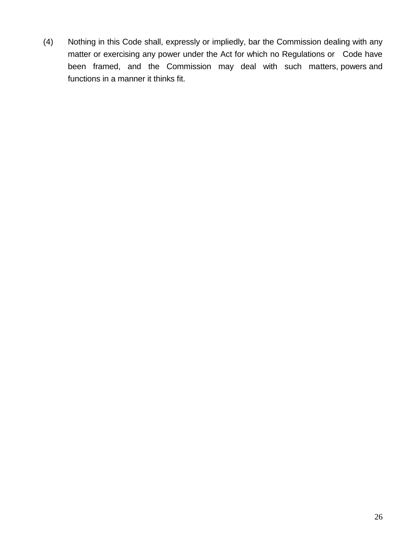(4) Nothing in this Code shall, expressly or impliedly, bar the Commission dealing with any matter or exercising any power under the Act for which no Regulations or Code have been framed, and the Commission may deal with such matters, powers and functions in a manner it thinks fit.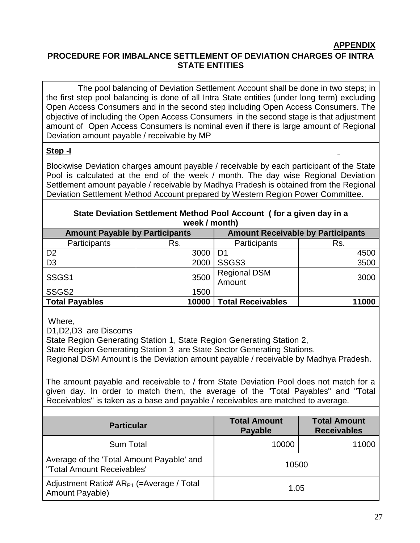#### **APPENDIX**

### **PROCEDURE FOR IMBALANCE SETTLEMENT OF DEVIATION CHARGES OF INTRA STATE ENTITIES**

 The pool balancing of Deviation Settlement Account shall be done in two steps; in the first step pool balancing is done of all Intra State entities (under long term) excluding Open Access Consumers and in the second step including Open Access Consumers. The objective of including the Open Access Consumers in the second stage is that adjustment amount of Open Access Consumers is nominal even if there is large amount of Regional Deviation amount payable / receivable by MP

#### **Step -I**

Blockwise Deviation charges amount payable / receivable by each participant of the State Pool is calculated at the end of the week / month. The day wise Regional Deviation Settlement amount payable / receivable by Madhya Pradesh is obtained from the Regional Deviation Settlement Method Account prepared by Western Region Power Committee.

| week / month)                         |       |                                          |       |  |  |
|---------------------------------------|-------|------------------------------------------|-------|--|--|
| <b>Amount Payable by Participants</b> |       | <b>Amount Receivable by Participants</b> |       |  |  |
| Participants                          | Rs.   | Participants                             | Rs.   |  |  |
| D <sub>2</sub>                        | 3000  | D <sub>1</sub>                           | 4500  |  |  |
| D <sub>3</sub>                        | 2000  | SSGS3                                    | 3500  |  |  |
| SSGS1                                 | 3500  | <b>Regional DSM</b><br>Amount            | 3000  |  |  |
| SSGS2                                 | 1500  |                                          |       |  |  |
| <b>Total Payables</b>                 | 10000 | <b>Total Receivables</b>                 | 11000 |  |  |

#### **State Deviation Settlement Method Pool Account ( for a given day in a week / month)**

Where,

D1,D2,D3 are Discoms

State Region Generating Station 1, State Region Generating Station 2,

State Region Generating Station 3 are State Sector Generating Stations.

Regional DSM Amount is the Deviation amount payable / receivable by Madhya Pradesh.

The amount payable and receivable to / from State Deviation Pool does not match for a given day. In order to match them, the average of the "Total Payables" and "Total Receivables" is taken as a base and payable / receivables are matched to average.

| <b>Particular</b>                                                       | <b>Total Amount</b><br><b>Payable</b> | <b>Total Amount</b><br><b>Receivables</b> |
|-------------------------------------------------------------------------|---------------------------------------|-------------------------------------------|
| <b>Sum Total</b>                                                        | 10000                                 | 11000                                     |
| Average of the 'Total Amount Payable' and<br>"Total Amount Receivables' | 10500                                 |                                           |
| Adjustment Ratio# $AR_{P1}$ (=Average / Total<br>Amount Payable)        | 1.05                                  |                                           |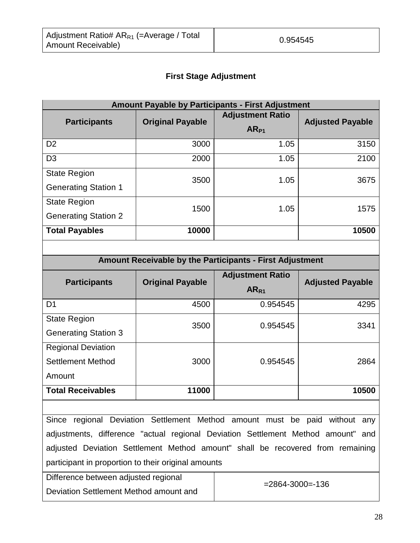## **First Stage Adjustment**

| <b>Amount Payable by Participants - First Adjustment</b> |                         |                                      |                         |  |
|----------------------------------------------------------|-------------------------|--------------------------------------|-------------------------|--|
| <b>Participants</b>                                      | <b>Original Payable</b> | <b>Adjustment Ratio</b><br>$AR_{P1}$ | <b>Adjusted Payable</b> |  |
| D <sub>2</sub>                                           | 3000                    | 1.05                                 | 3150                    |  |
| D <sub>3</sub>                                           | 2000                    | 1.05                                 | 2100                    |  |
| <b>State Region</b><br><b>Generating Station 1</b>       | 3500                    | 1.05                                 | 3675                    |  |
| <b>State Region</b><br><b>Generating Station 2</b>       | 1500                    | 1.05                                 | 1575                    |  |
| <b>Total Payables</b>                                    | 10000                   |                                      | 10500                   |  |

| <b>Amount Receivable by the Participants - First Adjustment</b> |                         |                                             |                         |  |
|-----------------------------------------------------------------|-------------------------|---------------------------------------------|-------------------------|--|
| <b>Participants</b>                                             | <b>Original Payable</b> | <b>Adjustment Ratio</b><br>AR <sub>R1</sub> | <b>Adjusted Payable</b> |  |
| D <sub>1</sub>                                                  | 4500                    | 0.954545                                    | 4295                    |  |
| <b>State Region</b><br><b>Generating Station 3</b>              | 3500                    | 0.954545                                    | 3341                    |  |
| <b>Regional Deviation</b><br>Settlement Method<br>Amount        | 3000                    | 0.954545                                    | 2864                    |  |
| <b>Total Receivables</b>                                        | 11000                   |                                             | 10500                   |  |

Since regional Deviation Settlement Method amount must be paid without any adjustments, difference "actual regional Deviation Settlement Method amount" and adjusted Deviation Settlement Method amount" shall be recovered from remaining participant in proportion to their original amounts

Difference between adjusted regional Deviation Settlement Method amount and

 $=2864-3000=136$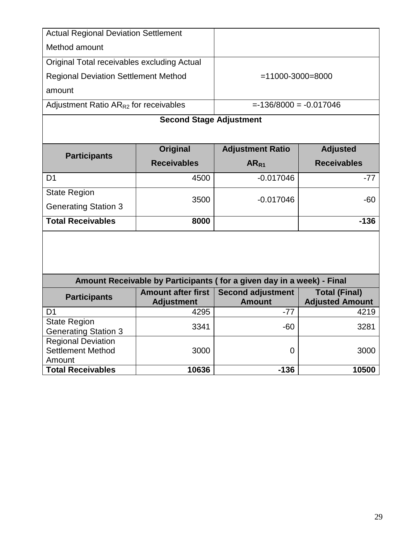| <b>Actual Regional Deviation Settlement</b>        |                                |                                                                       |                        |
|----------------------------------------------------|--------------------------------|-----------------------------------------------------------------------|------------------------|
| Method amount                                      |                                |                                                                       |                        |
| Original Total receivables excluding Actual        |                                |                                                                       |                        |
| <b>Regional Deviation Settlement Method</b>        |                                | $= 11000 - 3000 = 8000$                                               |                        |
| amount                                             |                                |                                                                       |                        |
| Adjustment Ratio $AR_{R2}$ for receivables         |                                | $= -136/8000 = -0.017046$                                             |                        |
|                                                    |                                |                                                                       |                        |
|                                                    | <b>Second Stage Adjustment</b> |                                                                       |                        |
|                                                    |                                |                                                                       |                        |
|                                                    | Original                       | <b>Adjustment Ratio</b>                                               | <b>Adjusted</b>        |
| <b>Participants</b>                                | <b>Receivables</b>             | AR <sub>R1</sub>                                                      | <b>Receivables</b>     |
| D <sub>1</sub>                                     | 4500                           | $-0.017046$                                                           | $-77$                  |
| <b>State Region</b>                                |                                |                                                                       |                        |
| <b>Generating Station 3</b>                        | 3500                           | $-0.017046$                                                           | $-60$                  |
| <b>Total Receivables</b>                           | 8000                           |                                                                       | $-136$                 |
|                                                    |                                |                                                                       |                        |
|                                                    |                                |                                                                       |                        |
|                                                    |                                |                                                                       |                        |
|                                                    |                                | Amount Receivable by Participants (for a given day in a week) - Final |                        |
|                                                    | <b>Amount after first</b>      | <b>Second adjustment</b>                                              | <b>Total (Final)</b>   |
| <b>Participants</b>                                | <b>Adjustment</b>              | <b>Amount</b>                                                         | <b>Adjusted Amount</b> |
| D <sub>1</sub>                                     | 4295                           | $-77$                                                                 | 4219                   |
| <b>State Region</b><br><b>Generating Station 3</b> | 3341                           | $-60$                                                                 | 3281                   |
| <b>Regional Deviation</b>                          |                                |                                                                       |                        |
| <b>Settlement Method</b>                           | 3000                           | $\Omega$                                                              | 3000                   |
| Amount<br><b>Total Receivables</b>                 | 10636                          | $-136$                                                                | 10500                  |
|                                                    |                                |                                                                       |                        |